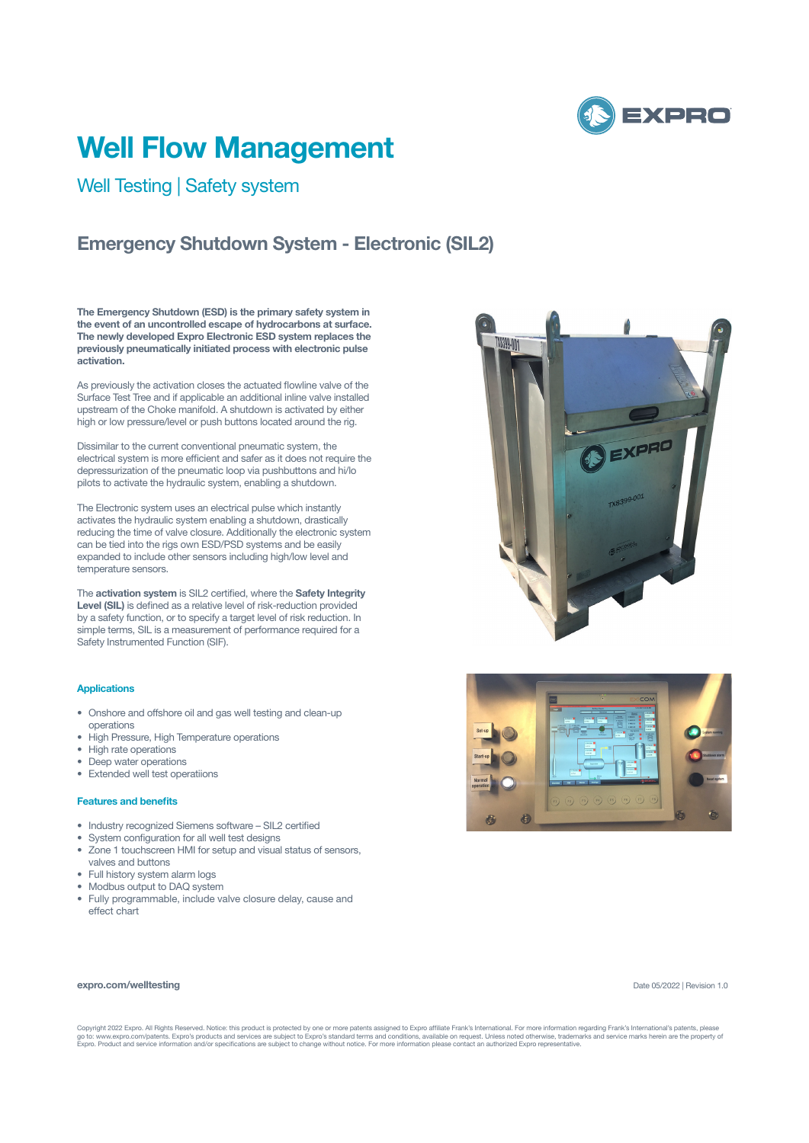

# **Well Flow Management**

## Well Testing | Safety system

## **Emergency Shutdown System - Electronic (SIL2)**

**The Emergency Shutdown (ESD) is the primary safety system in the event of an uncontrolled escape of hydrocarbons at surface. The newly developed Expro Electronic ESD system replaces the previously pneumatically initiated process with electronic pulse activation.**

As previously the activation closes the actuated flowline valve of the Surface Test Tree and if applicable an additional inline valve installed upstream of the Choke manifold. A shutdown is activated by either high or low pressure/level or push buttons located around the rig.

Dissimilar to the current conventional pneumatic system, the electrical system is more efficient and safer as it does not require the depressurization of the pneumatic loop via pushbuttons and hi/lo pilots to activate the hydraulic system, enabling a shutdown.

The Electronic system uses an electrical pulse which instantly activates the hydraulic system enabling a shutdown, drastically reducing the time of valve closure. Additionally the electronic system can be tied into the rigs own ESD/PSD systems and be easily expanded to include other sensors including high/low level and temperature sensors.

The **activation system** is SIL2 certified, where the **Safety Integrity Level (SIL)** is defined as a relative level of risk-reduction provided by a safety function, or to specify a target level of risk reduction. In simple terms. SIL is a measurement of performance required for a Safety Instrumented Function (SIF).

### **Applications**

- Onshore and offshore oil and gas well testing and clean-up operations
- High Pressure, High Temperature operations
- High rate operations
- Deep water operations
- Extended well test operatiions

#### **Features and benefits**

- Industry recognized Siemens software SIL2 certified
- System configuration for all well test designs
- Zone 1 touchscreen HMI for setup and visual status of sensors, valves and buttons
- 
- Full history system alarm logs • Modbus output to DAQ system
- 
- Fully programmable, include valve closure delay, cause and effect chart





#### **expro.com/welltesting**

Date 05/2022 | Revision 1.0

Copyright 2022 Expro. All Rights Reserved. Notice: this product is protected by one or more patents assigned to Expro affiliate Frank's International. For more information regarding Frank's International's patents, please<br>